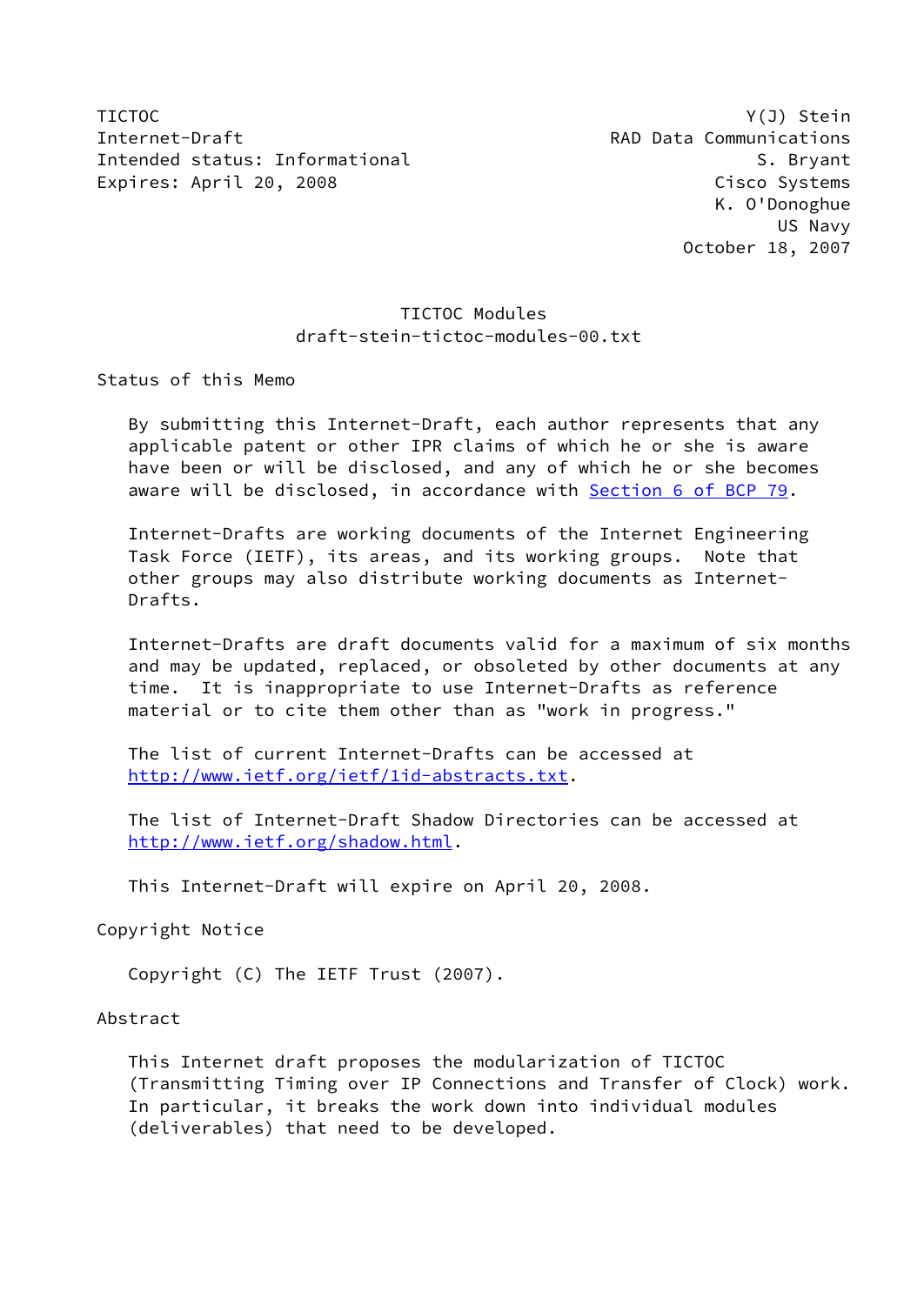TICTOC Y(J) Stein Internet-Draft **RAD Data Communications** Intended status: Informational S. Bryant Expires: April 20, 2008 Cisco Systems

 K. O'Donoghue US Navy October 18, 2007

## TICTOC Modules draft-stein-tictoc-modules-00.txt

Status of this Memo

 By submitting this Internet-Draft, each author represents that any applicable patent or other IPR claims of which he or she is aware have been or will be disclosed, and any of which he or she becomes aware will be disclosed, in accordance with Section [6 of BCP 79.](https://datatracker.ietf.org/doc/pdf/bcp79#section-6)

 Internet-Drafts are working documents of the Internet Engineering Task Force (IETF), its areas, and its working groups. Note that other groups may also distribute working documents as Internet- Drafts.

 Internet-Drafts are draft documents valid for a maximum of six months and may be updated, replaced, or obsoleted by other documents at any time. It is inappropriate to use Internet-Drafts as reference material or to cite them other than as "work in progress."

 The list of current Internet-Drafts can be accessed at <http://www.ietf.org/ietf/1id-abstracts.txt>.

 The list of Internet-Draft Shadow Directories can be accessed at <http://www.ietf.org/shadow.html>.

This Internet-Draft will expire on April 20, 2008.

Copyright Notice

Copyright (C) The IETF Trust (2007).

Abstract

 This Internet draft proposes the modularization of TICTOC (Transmitting Timing over IP Connections and Transfer of Clock) work. In particular, it breaks the work down into individual modules (deliverables) that need to be developed.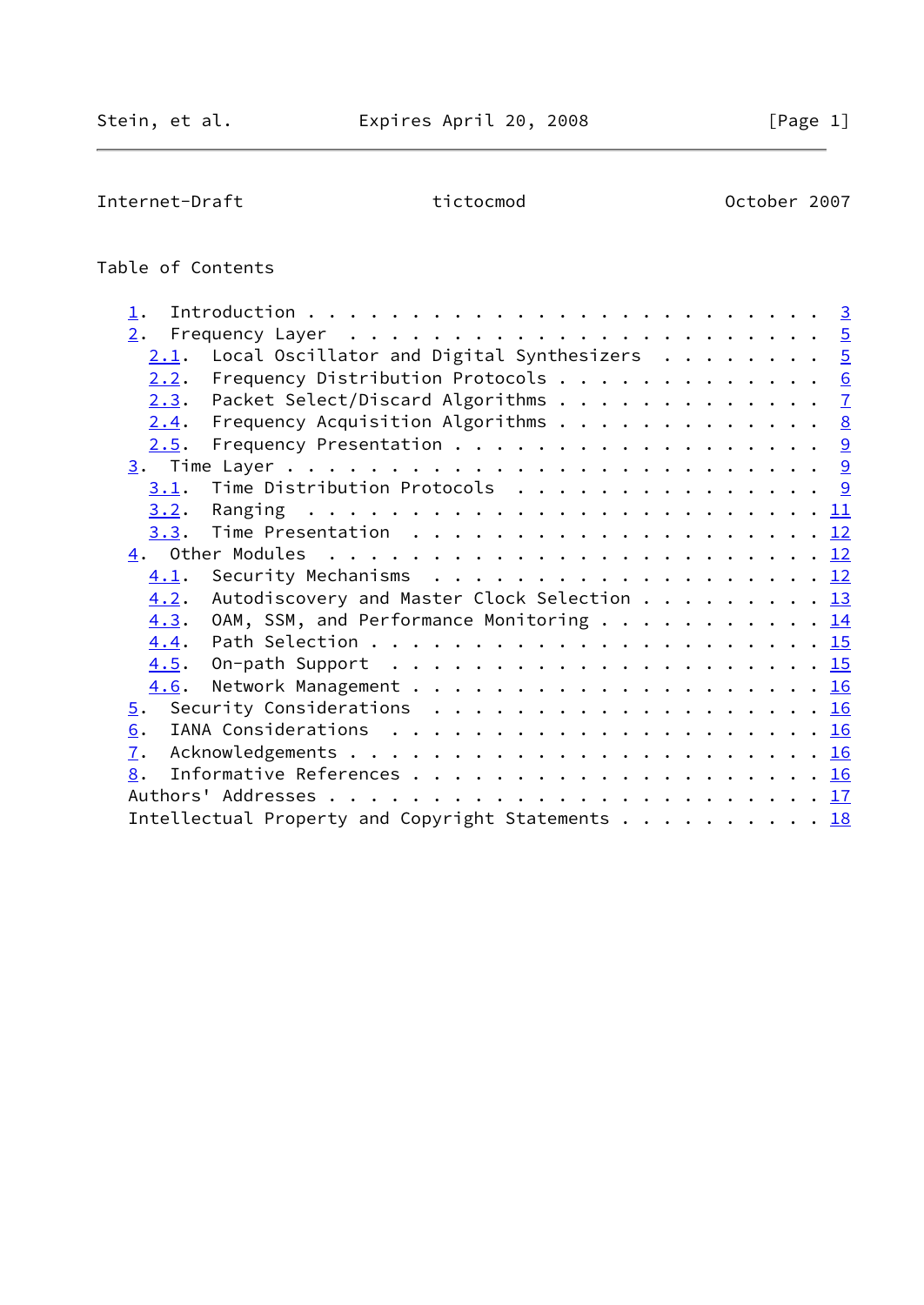Internet-Draft tictocmod control october 2007

# Table of Contents

| 2.               |                                                                                     |  |
|------------------|-------------------------------------------------------------------------------------|--|
| 2.1.             | Local Oscillator and Digital Synthesizers $\cdots \cdots$ 5                         |  |
| 2.2.             | Frequency Distribution Protocols 6                                                  |  |
| 2.3.             | Packet Select/Discard Algorithms 7                                                  |  |
| 2.4.             | Frequency Acquisition Algorithms $\cdots$ 8                                         |  |
| 2.5.             |                                                                                     |  |
|                  |                                                                                     |  |
| 3.1.             | Time Distribution Protocols 9                                                       |  |
| 3.2.             |                                                                                     |  |
| 3.3.             | Time Presentation $\ldots \ldots \ldots \ldots \ldots \ldots \ldots \underline{12}$ |  |
|                  |                                                                                     |  |
| 4.1.             |                                                                                     |  |
| 4.2.             | Autodiscovery and Master Clock Selection 13                                         |  |
| 4.3.             | OAM, SSM, and Performance Monitoring $\cdots$ 14                                    |  |
| 4.4.             |                                                                                     |  |
| 4.5.             | On-path Support $\ldots \ldots \ldots \ldots \ldots \ldots \ldots \frac{15}{15}$    |  |
| 4.6.             |                                                                                     |  |
| $\overline{5}$ . |                                                                                     |  |
| 6.               |                                                                                     |  |
| $\overline{1}$ . |                                                                                     |  |
| 8.               |                                                                                     |  |
|                  |                                                                                     |  |
|                  | Intellectual Property and Copyright Statements 18                                   |  |
|                  |                                                                                     |  |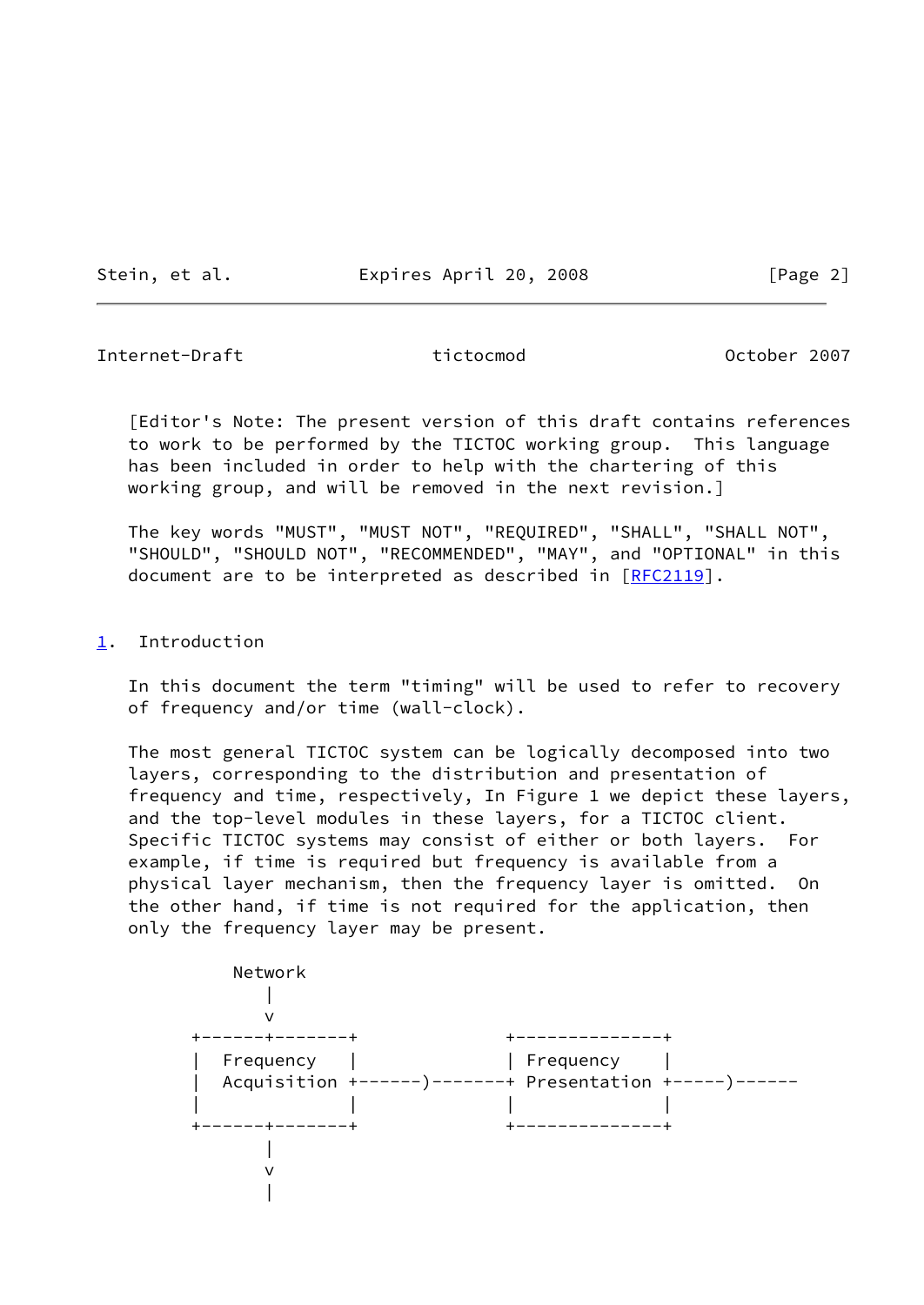Stein, et al. Expires April 20, 2008 [Page 2]

<span id="page-2-1"></span>Internet-Draft tictocmod October 2007

 [Editor's Note: The present version of this draft contains references to work to be performed by the TICTOC working group. This language has been included in order to help with the chartering of this working group, and will be removed in the next revision.]

 The key words "MUST", "MUST NOT", "REQUIRED", "SHALL", "SHALL NOT", "SHOULD", "SHOULD NOT", "RECOMMENDED", "MAY", and "OPTIONAL" in this document are to be interpreted as described in [\[RFC2119](https://datatracker.ietf.org/doc/pdf/rfc2119)].

## <span id="page-2-0"></span>[1](#page-2-0). Introduction

 In this document the term "timing" will be used to refer to recovery of frequency and/or time (wall-clock).

 The most general TICTOC system can be logically decomposed into two layers, corresponding to the distribution and presentation of frequency and time, respectively, In Figure 1 we depict these layers, and the top-level modules in these layers, for a TICTOC client. Specific TICTOC systems may consist of either or both layers. For example, if time is required but frequency is available from a physical layer mechanism, then the frequency layer is omitted. On the other hand, if time is not required for the application, then only the frequency layer may be present.

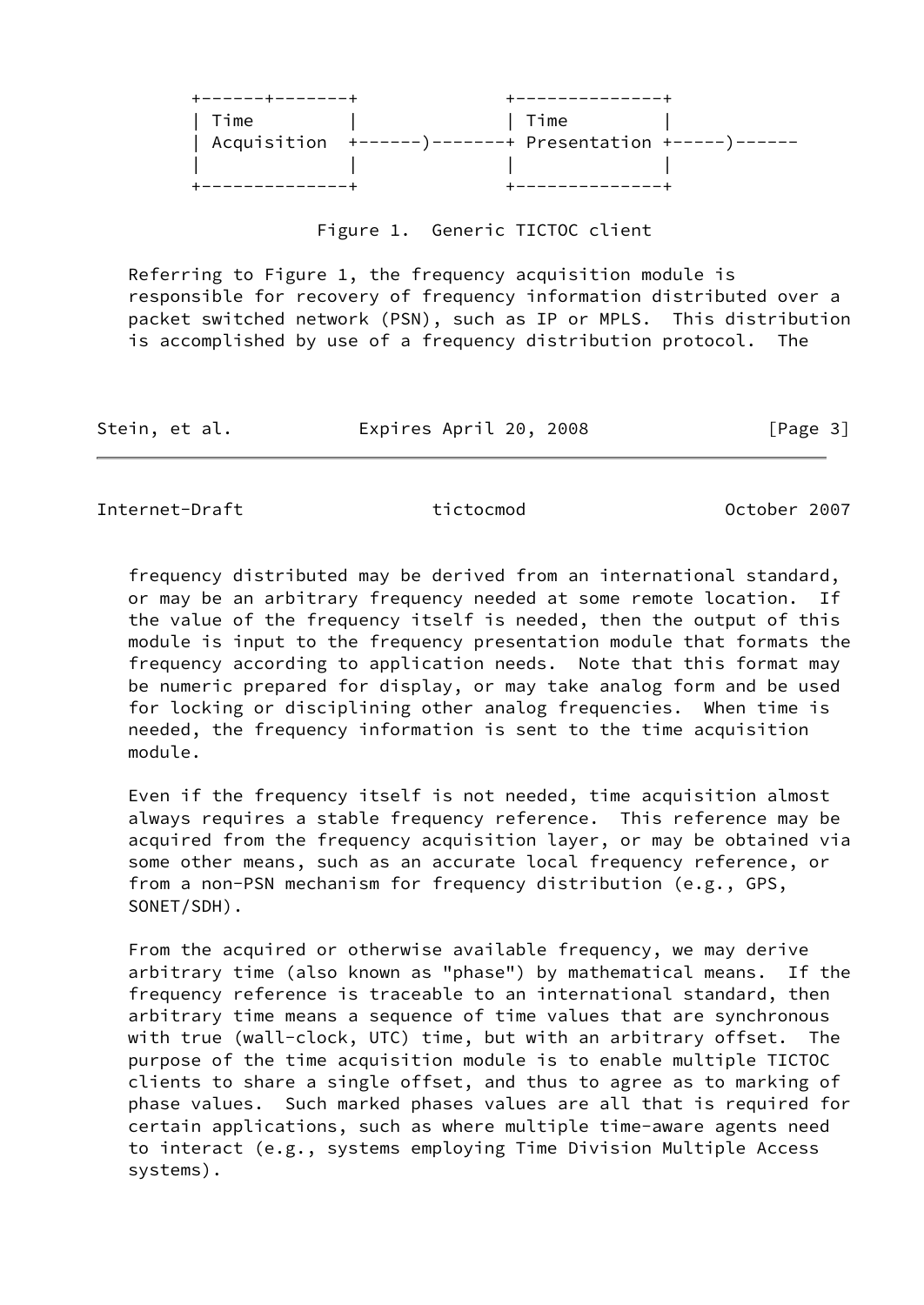| ------+------- | -----------                                                   |  |
|----------------|---------------------------------------------------------------|--|
| Time           | Time                                                          |  |
|                | Acquisition $+$ ------)-------+ Presentation $+$ -----)------ |  |
|                |                                                               |  |
|                |                                                               |  |

## Figure 1. Generic TICTOC client

 Referring to Figure 1, the frequency acquisition module is responsible for recovery of frequency information distributed over a packet switched network (PSN), such as IP or MPLS. This distribution is accomplished by use of a frequency distribution protocol. The

Stein, et al. Expires April 20, 2008 [Page 3]

Internet-Draft tictocmod October 2007

 frequency distributed may be derived from an international standard, or may be an arbitrary frequency needed at some remote location. If the value of the frequency itself is needed, then the output of this module is input to the frequency presentation module that formats the frequency according to application needs. Note that this format may be numeric prepared for display, or may take analog form and be used for locking or disciplining other analog frequencies. When time is needed, the frequency information is sent to the time acquisition module.

 Even if the frequency itself is not needed, time acquisition almost always requires a stable frequency reference. This reference may be acquired from the frequency acquisition layer, or may be obtained via some other means, such as an accurate local frequency reference, or from a non-PSN mechanism for frequency distribution (e.g., GPS, SONET/SDH).

 From the acquired or otherwise available frequency, we may derive arbitrary time (also known as "phase") by mathematical means. If the frequency reference is traceable to an international standard, then arbitrary time means a sequence of time values that are synchronous with true (wall-clock, UTC) time, but with an arbitrary offset. The purpose of the time acquisition module is to enable multiple TICTOC clients to share a single offset, and thus to agree as to marking of phase values. Such marked phases values are all that is required for certain applications, such as where multiple time-aware agents need to interact (e.g., systems employing Time Division Multiple Access systems).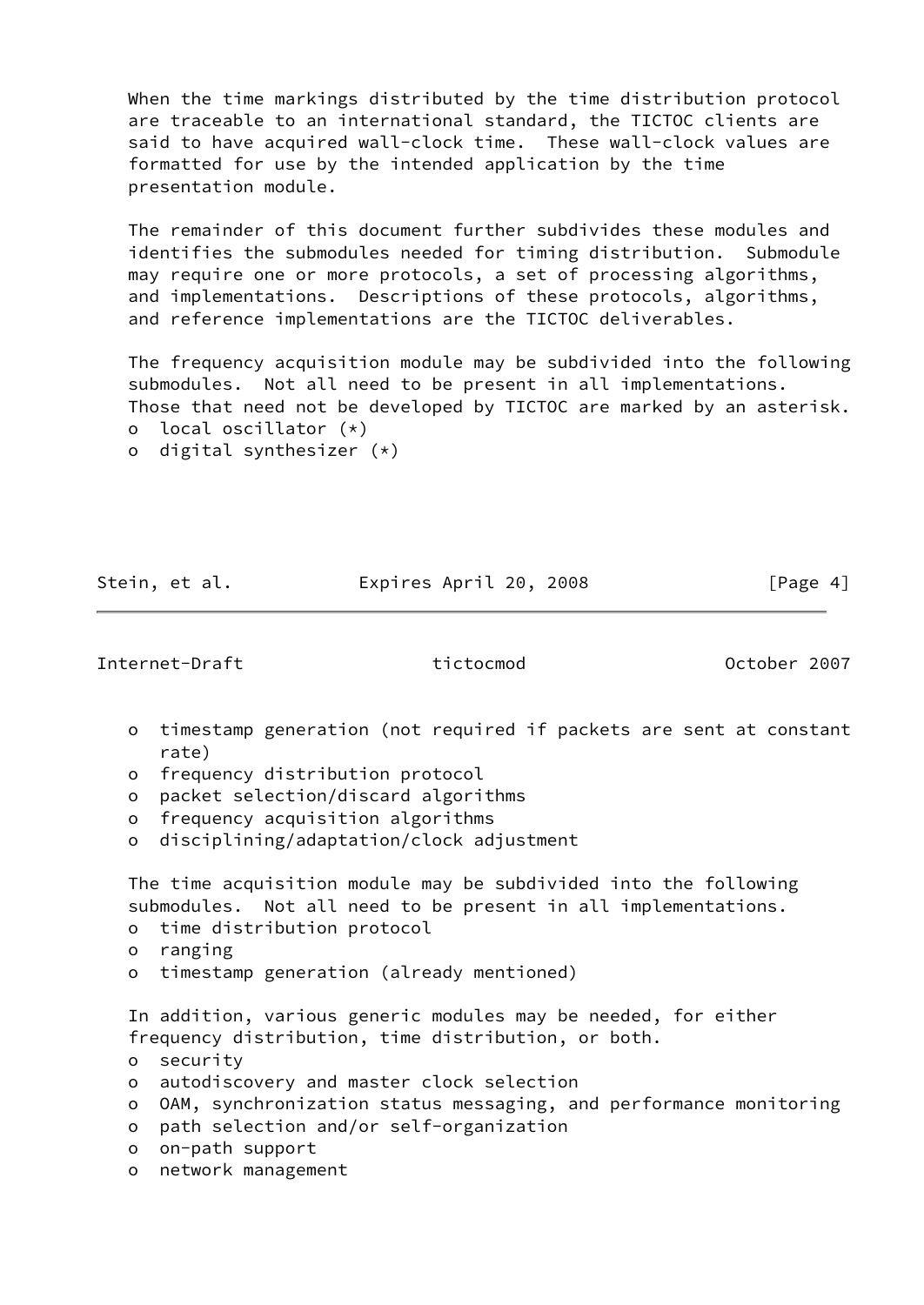When the time markings distributed by the time distribution protocol are traceable to an international standard, the TICTOC clients are said to have acquired wall-clock time. These wall-clock values are formatted for use by the intended application by the time presentation module.

 The remainder of this document further subdivides these modules and identifies the submodules needed for timing distribution. Submodule may require one or more protocols, a set of processing algorithms, and implementations. Descriptions of these protocols, algorithms, and reference implementations are the TICTOC deliverables.

 The frequency acquisition module may be subdivided into the following submodules. Not all need to be present in all implementations. Those that need not be developed by TICTOC are marked by an asterisk. o local oscillator (\*)

o digital synthesizer (\*)

Stein, et al. Expires April 20, 2008 [Page 4]

<span id="page-4-0"></span>Internet-Draft tictocmod October 2007

- o timestamp generation (not required if packets are sent at constant rate)
- o frequency distribution protocol
- o packet selection/discard algorithms
- o frequency acquisition algorithms
- o disciplining/adaptation/clock adjustment

 The time acquisition module may be subdivided into the following submodules. Not all need to be present in all implementations.

- o time distribution protocol
- o ranging
- o timestamp generation (already mentioned)

 In addition, various generic modules may be needed, for either frequency distribution, time distribution, or both.

- o security
- o autodiscovery and master clock selection
- o OAM, synchronization status messaging, and performance monitoring
- o path selection and/or self-organization
- o on-path support
- o network management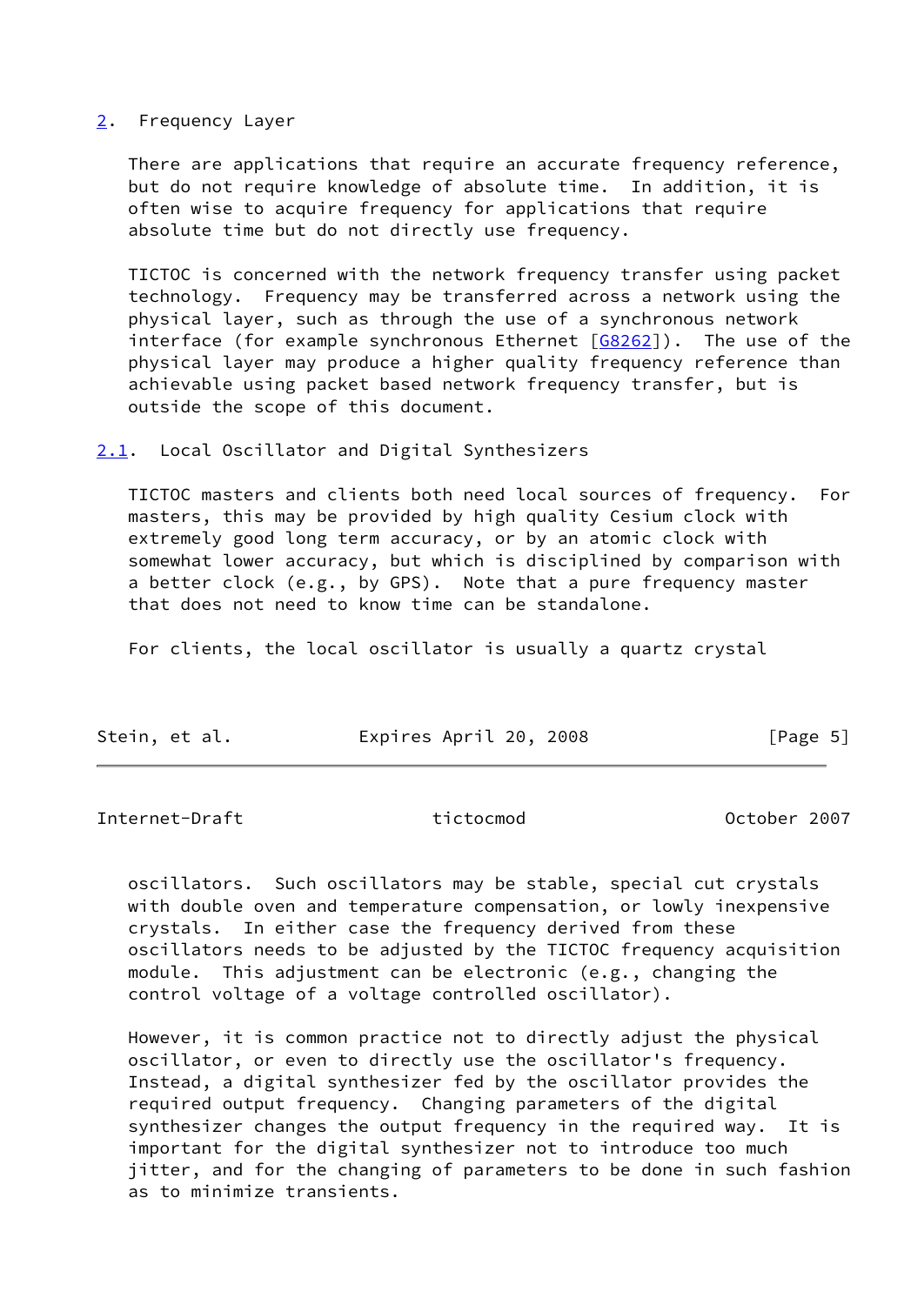## <span id="page-5-0"></span>[2](#page-5-0). Frequency Layer

There are applications that require an accurate frequency reference, but do not require knowledge of absolute time. In addition, it is often wise to acquire frequency for applications that require absolute time but do not directly use frequency.

 TICTOC is concerned with the network frequency transfer using packet technology. Frequency may be transferred across a network using the physical layer, such as through the use of a synchronous network interface (for example synchronous Ethernet  $[68262]$ ). The use of the physical layer may produce a higher quality frequency reference than achievable using packet based network frequency transfer, but is outside the scope of this document.

<span id="page-5-1"></span>[2.1](#page-5-1). Local Oscillator and Digital Synthesizers

 TICTOC masters and clients both need local sources of frequency. For masters, this may be provided by high quality Cesium clock with extremely good long term accuracy, or by an atomic clock with somewhat lower accuracy, but which is disciplined by comparison with a better clock (e.g., by GPS). Note that a pure frequency master that does not need to know time can be standalone.

For clients, the local oscillator is usually a quartz crystal

| Stein, et al. | Expires April 20, 2008 | [Page 5] |
|---------------|------------------------|----------|
|               |                        |          |

<span id="page-5-2"></span>Internet-Draft tictocmod October 2007

 oscillators. Such oscillators may be stable, special cut crystals with double oven and temperature compensation, or lowly inexpensive crystals. In either case the frequency derived from these oscillators needs to be adjusted by the TICTOC frequency acquisition module. This adjustment can be electronic (e.g., changing the control voltage of a voltage controlled oscillator).

 However, it is common practice not to directly adjust the physical oscillator, or even to directly use the oscillator's frequency. Instead, a digital synthesizer fed by the oscillator provides the required output frequency. Changing parameters of the digital synthesizer changes the output frequency in the required way. It is important for the digital synthesizer not to introduce too much jitter, and for the changing of parameters to be done in such fashion as to minimize transients.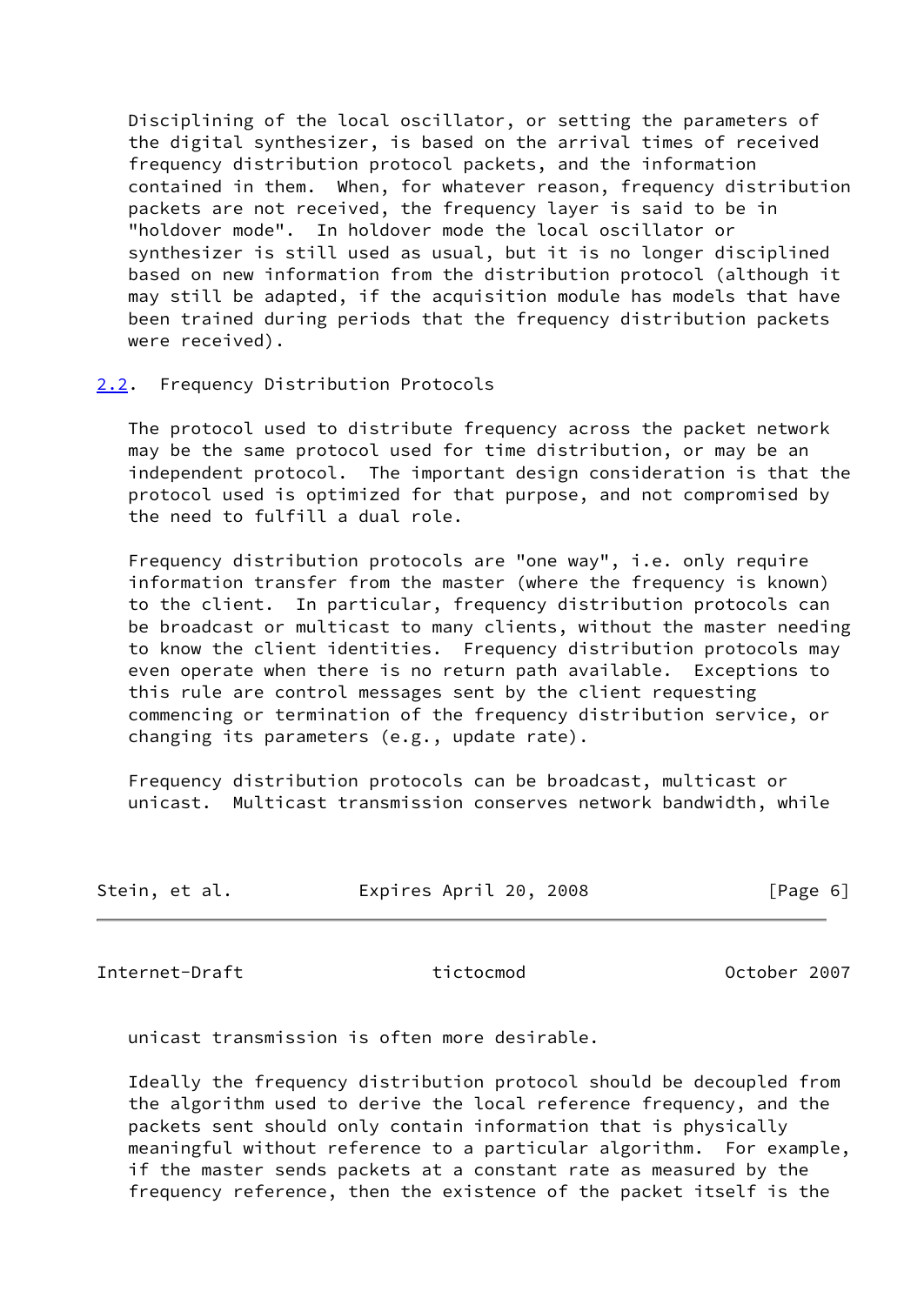Disciplining of the local oscillator, or setting the parameters of the digital synthesizer, is based on the arrival times of received frequency distribution protocol packets, and the information contained in them. When, for whatever reason, frequency distribution packets are not received, the frequency layer is said to be in "holdover mode". In holdover mode the local oscillator or synthesizer is still used as usual, but it is no longer disciplined based on new information from the distribution protocol (although it may still be adapted, if the acquisition module has models that have been trained during periods that the frequency distribution packets were received).

## <span id="page-6-0"></span>[2.2](#page-6-0). Frequency Distribution Protocols

 The protocol used to distribute frequency across the packet network may be the same protocol used for time distribution, or may be an independent protocol. The important design consideration is that the protocol used is optimized for that purpose, and not compromised by the need to fulfill a dual role.

 Frequency distribution protocols are "one way", i.e. only require information transfer from the master (where the frequency is known) to the client. In particular, frequency distribution protocols can be broadcast or multicast to many clients, without the master needing to know the client identities. Frequency distribution protocols may even operate when there is no return path available. Exceptions to this rule are control messages sent by the client requesting commencing or termination of the frequency distribution service, or changing its parameters (e.g., update rate).

 Frequency distribution protocols can be broadcast, multicast or unicast. Multicast transmission conserves network bandwidth, while

| Stein, et al. | Expires April 20, 2008 | [Page 6] |
|---------------|------------------------|----------|
|               |                        |          |

<span id="page-6-1"></span>Internet-Draft tictocmod October 2007

unicast transmission is often more desirable.

 Ideally the frequency distribution protocol should be decoupled from the algorithm used to derive the local reference frequency, and the packets sent should only contain information that is physically meaningful without reference to a particular algorithm. For example, if the master sends packets at a constant rate as measured by the frequency reference, then the existence of the packet itself is the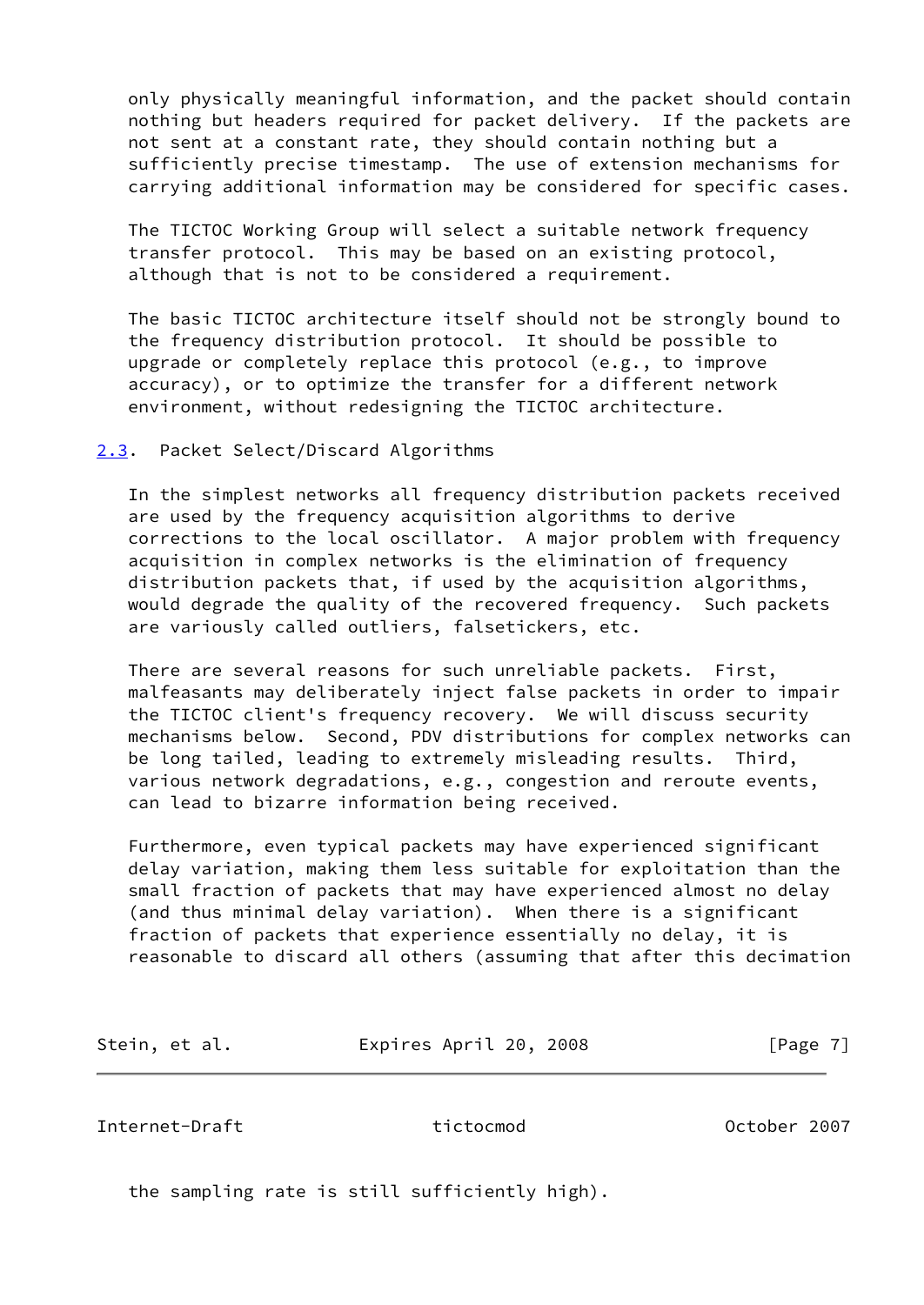only physically meaningful information, and the packet should contain nothing but headers required for packet delivery. If the packets are not sent at a constant rate, they should contain nothing but a sufficiently precise timestamp. The use of extension mechanisms for carrying additional information may be considered for specific cases.

 The TICTOC Working Group will select a suitable network frequency transfer protocol. This may be based on an existing protocol, although that is not to be considered a requirement.

 The basic TICTOC architecture itself should not be strongly bound to the frequency distribution protocol. It should be possible to upgrade or completely replace this protocol (e.g., to improve accuracy), or to optimize the transfer for a different network environment, without redesigning the TICTOC architecture.

## <span id="page-7-0"></span>[2.3](#page-7-0). Packet Select/Discard Algorithms

 In the simplest networks all frequency distribution packets received are used by the frequency acquisition algorithms to derive corrections to the local oscillator. A major problem with frequency acquisition in complex networks is the elimination of frequency distribution packets that, if used by the acquisition algorithms, would degrade the quality of the recovered frequency. Such packets are variously called outliers, falsetickers, etc.

 There are several reasons for such unreliable packets. First, malfeasants may deliberately inject false packets in order to impair the TICTOC client's frequency recovery. We will discuss security mechanisms below. Second, PDV distributions for complex networks can be long tailed, leading to extremely misleading results. Third, various network degradations, e.g., congestion and reroute events, can lead to bizarre information being received.

 Furthermore, even typical packets may have experienced significant delay variation, making them less suitable for exploitation than the small fraction of packets that may have experienced almost no delay (and thus minimal delay variation). When there is a significant fraction of packets that experience essentially no delay, it is reasonable to discard all others (assuming that after this decimation

|  | Stein, et al. | Expires April 20, 2008 | [Page 7] |
|--|---------------|------------------------|----------|
|--|---------------|------------------------|----------|

<span id="page-7-1"></span>Internet-Draft tictocmod October 2007

the sampling rate is still sufficiently high).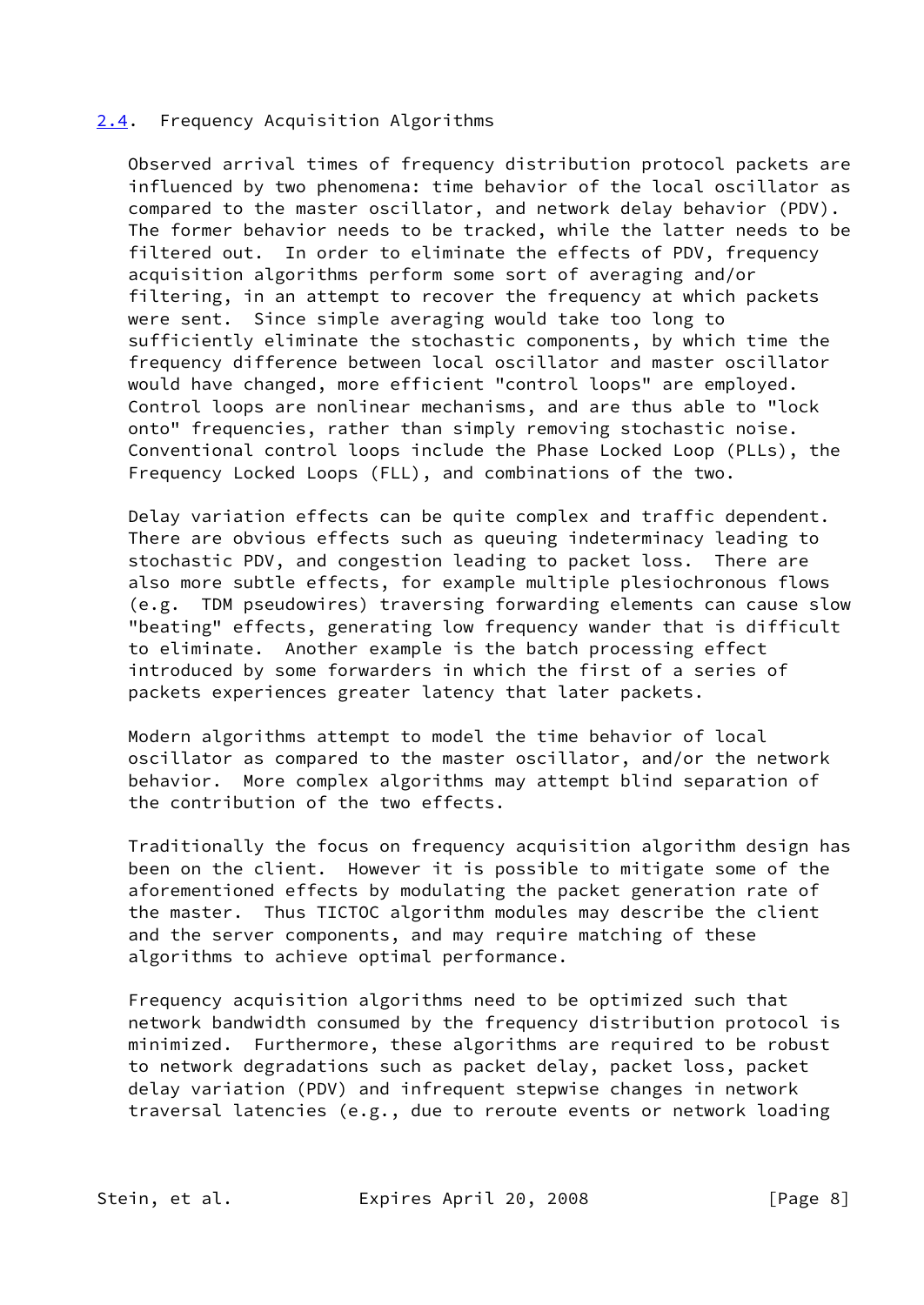## <span id="page-8-0"></span>[2.4](#page-8-0). Frequency Acquisition Algorithms

 Observed arrival times of frequency distribution protocol packets are influenced by two phenomena: time behavior of the local oscillator as compared to the master oscillator, and network delay behavior (PDV). The former behavior needs to be tracked, while the latter needs to be filtered out. In order to eliminate the effects of PDV, frequency acquisition algorithms perform some sort of averaging and/or filtering, in an attempt to recover the frequency at which packets were sent. Since simple averaging would take too long to sufficiently eliminate the stochastic components, by which time the frequency difference between local oscillator and master oscillator would have changed, more efficient "control loops" are employed. Control loops are nonlinear mechanisms, and are thus able to "lock onto" frequencies, rather than simply removing stochastic noise. Conventional control loops include the Phase Locked Loop (PLLs), the Frequency Locked Loops (FLL), and combinations of the two.

 Delay variation effects can be quite complex and traffic dependent. There are obvious effects such as queuing indeterminacy leading to stochastic PDV, and congestion leading to packet loss. There are also more subtle effects, for example multiple plesiochronous flows (e.g. TDM pseudowires) traversing forwarding elements can cause slow "beating" effects, generating low frequency wander that is difficult to eliminate. Another example is the batch processing effect introduced by some forwarders in which the first of a series of packets experiences greater latency that later packets.

 Modern algorithms attempt to model the time behavior of local oscillator as compared to the master oscillator, and/or the network behavior. More complex algorithms may attempt blind separation of the contribution of the two effects.

 Traditionally the focus on frequency acquisition algorithm design has been on the client. However it is possible to mitigate some of the aforementioned effects by modulating the packet generation rate of the master. Thus TICTOC algorithm modules may describe the client and the server components, and may require matching of these algorithms to achieve optimal performance.

 Frequency acquisition algorithms need to be optimized such that network bandwidth consumed by the frequency distribution protocol is minimized. Furthermore, these algorithms are required to be robust to network degradations such as packet delay, packet loss, packet delay variation (PDV) and infrequent stepwise changes in network traversal latencies (e.g., due to reroute events or network loading

Stein, et al. Expires April 20, 2008 [Page 8]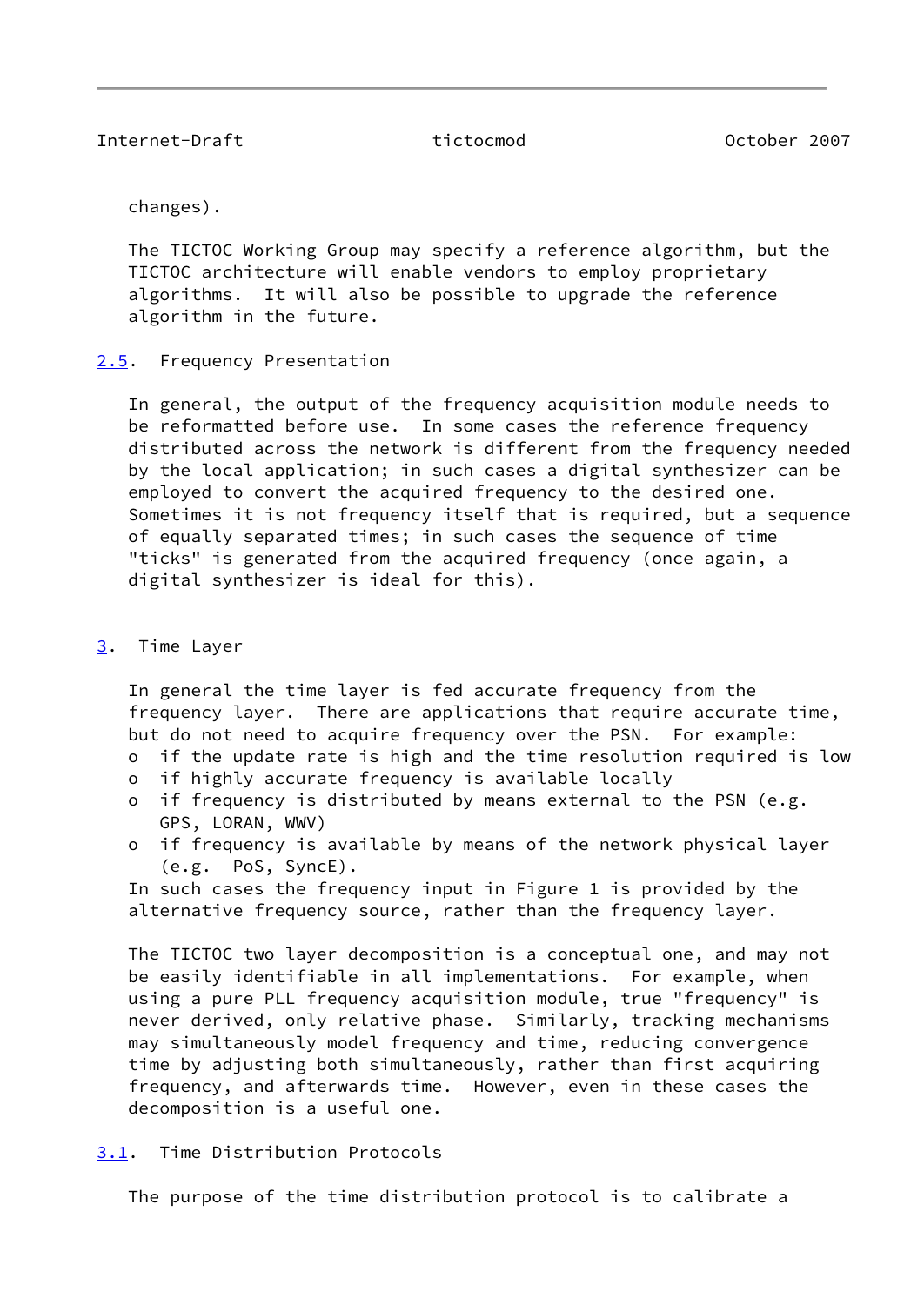<span id="page-9-1"></span>changes).

 The TICTOC Working Group may specify a reference algorithm, but the TICTOC architecture will enable vendors to employ proprietary algorithms. It will also be possible to upgrade the reference algorithm in the future.

<span id="page-9-0"></span>[2.5](#page-9-0). Frequency Presentation

 In general, the output of the frequency acquisition module needs to be reformatted before use. In some cases the reference frequency distributed across the network is different from the frequency needed by the local application; in such cases a digital synthesizer can be employed to convert the acquired frequency to the desired one. Sometimes it is not frequency itself that is required, but a sequence of equally separated times; in such cases the sequence of time "ticks" is generated from the acquired frequency (once again, a digital synthesizer is ideal for this).

## <span id="page-9-2"></span>[3](#page-9-2). Time Layer

 In general the time layer is fed accurate frequency from the frequency layer. There are applications that require accurate time, but do not need to acquire frequency over the PSN. For example:

- o if the update rate is high and the time resolution required is low
- o if highly accurate frequency is available locally
- o if frequency is distributed by means external to the PSN (e.g. GPS, LORAN, WWV)
- o if frequency is available by means of the network physical layer (e.g. PoS, SyncE).

 In such cases the frequency input in Figure 1 is provided by the alternative frequency source, rather than the frequency layer.

 The TICTOC two layer decomposition is a conceptual one, and may not be easily identifiable in all implementations. For example, when using a pure PLL frequency acquisition module, true "frequency" is never derived, only relative phase. Similarly, tracking mechanisms may simultaneously model frequency and time, reducing convergence time by adjusting both simultaneously, rather than first acquiring frequency, and afterwards time. However, even in these cases the decomposition is a useful one.

<span id="page-9-3"></span>[3.1](#page-9-3). Time Distribution Protocols

The purpose of the time distribution protocol is to calibrate a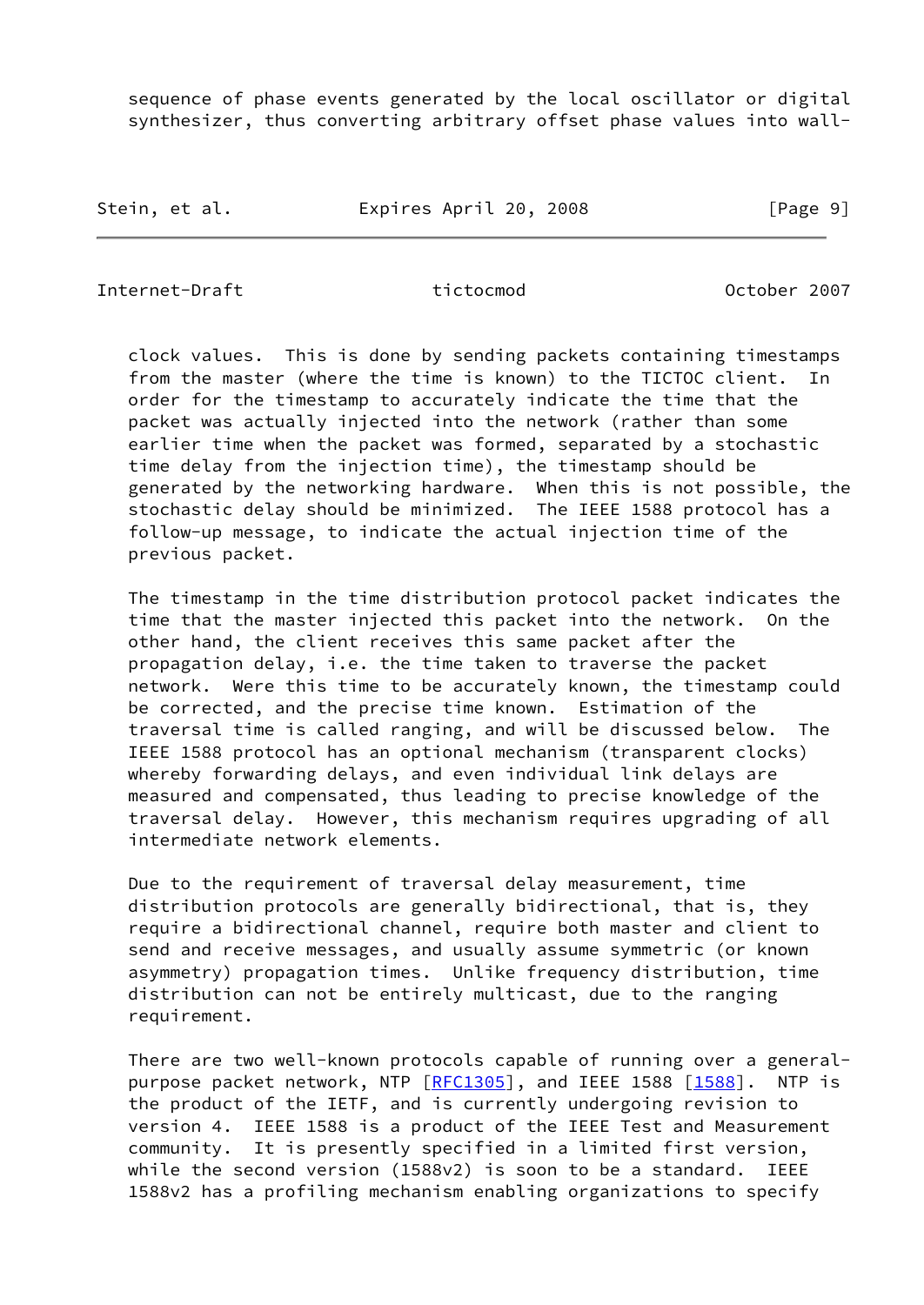sequence of phase events generated by the local oscillator or digital synthesizer, thus converting arbitrary offset phase values into wall-

Stein, et al. **Expires April 20, 2008** [Page 9]

Internet-Draft tictocmod October 2007

 clock values. This is done by sending packets containing timestamps from the master (where the time is known) to the TICTOC client. In order for the timestamp to accurately indicate the time that the packet was actually injected into the network (rather than some earlier time when the packet was formed, separated by a stochastic time delay from the injection time), the timestamp should be generated by the networking hardware. When this is not possible, the stochastic delay should be minimized. The IEEE 1588 protocol has a follow-up message, to indicate the actual injection time of the previous packet.

 The timestamp in the time distribution protocol packet indicates the time that the master injected this packet into the network. On the other hand, the client receives this same packet after the propagation delay, i.e. the time taken to traverse the packet network. Were this time to be accurately known, the timestamp could be corrected, and the precise time known. Estimation of the traversal time is called ranging, and will be discussed below. The IEEE 1588 protocol has an optional mechanism (transparent clocks) whereby forwarding delays, and even individual link delays are measured and compensated, thus leading to precise knowledge of the traversal delay. However, this mechanism requires upgrading of all intermediate network elements.

 Due to the requirement of traversal delay measurement, time distribution protocols are generally bidirectional, that is, they require a bidirectional channel, require both master and client to send and receive messages, and usually assume symmetric (or known asymmetry) propagation times. Unlike frequency distribution, time distribution can not be entirely multicast, due to the ranging requirement.

 There are two well-known protocols capable of running over a general purpose packet network, NTP [\[RFC1305](https://datatracker.ietf.org/doc/pdf/rfc1305)], and IEEE 1588 [\[1588](#page-18-2)]. NTP is the product of the IETF, and is currently undergoing revision to version 4. IEEE 1588 is a product of the IEEE Test and Measurement community. It is presently specified in a limited first version, while the second version (1588v2) is soon to be a standard. IEEE 1588v2 has a profiling mechanism enabling organizations to specify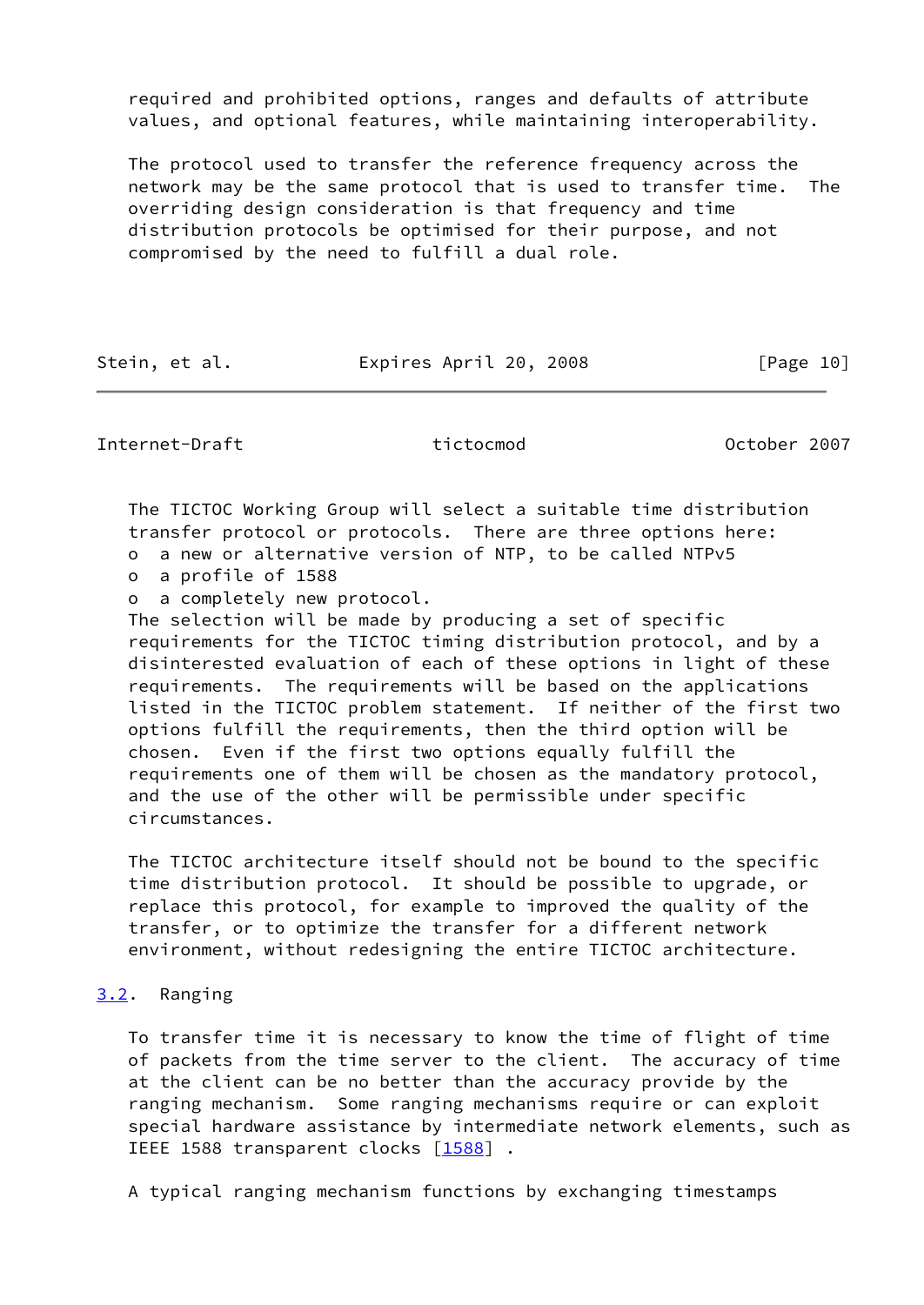required and prohibited options, ranges and defaults of attribute values, and optional features, while maintaining interoperability.

 The protocol used to transfer the reference frequency across the network may be the same protocol that is used to transfer time. The overriding design consideration is that frequency and time distribution protocols be optimised for their purpose, and not compromised by the need to fulfill a dual role.

Stein, et al. **Expires April 20, 2008** [Page 10]

<span id="page-11-1"></span>Internet-Draft tictocmod October 2007

 The TICTOC Working Group will select a suitable time distribution transfer protocol or protocols. There are three options here:

o a new or alternative version of NTP, to be called NTPv5

- o a profile of 1588
- o a completely new protocol.

 The selection will be made by producing a set of specific requirements for the TICTOC timing distribution protocol, and by a disinterested evaluation of each of these options in light of these requirements. The requirements will be based on the applications listed in the TICTOC problem statement. If neither of the first two options fulfill the requirements, then the third option will be chosen. Even if the first two options equally fulfill the requirements one of them will be chosen as the mandatory protocol, and the use of the other will be permissible under specific circumstances.

 The TICTOC architecture itself should not be bound to the specific time distribution protocol. It should be possible to upgrade, or replace this protocol, for example to improved the quality of the transfer, or to optimize the transfer for a different network environment, without redesigning the entire TICTOC architecture.

## <span id="page-11-0"></span>[3.2](#page-11-0). Ranging

 To transfer time it is necessary to know the time of flight of time of packets from the time server to the client. The accuracy of time at the client can be no better than the accuracy provide by the ranging mechanism. Some ranging mechanisms require or can exploit special hardware assistance by intermediate network elements, such as IEEE 1588 transparent clocks [\[1588](#page-18-2)].

A typical ranging mechanism functions by exchanging timestamps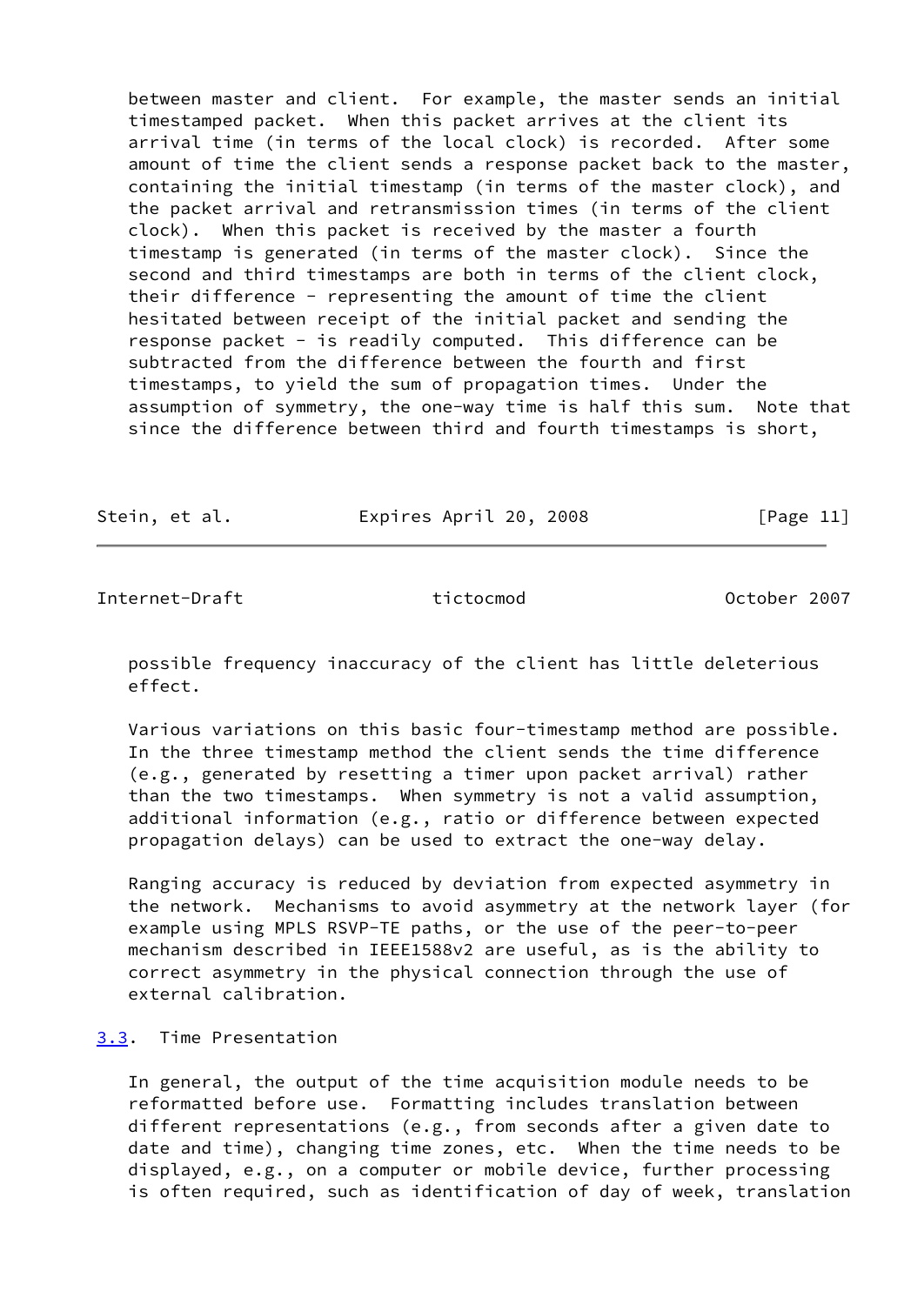between master and client. For example, the master sends an initial timestamped packet. When this packet arrives at the client its arrival time (in terms of the local clock) is recorded. After some amount of time the client sends a response packet back to the master, containing the initial timestamp (in terms of the master clock), and the packet arrival and retransmission times (in terms of the client clock). When this packet is received by the master a fourth timestamp is generated (in terms of the master clock). Since the second and third timestamps are both in terms of the client clock, their difference - representing the amount of time the client hesitated between receipt of the initial packet and sending the response packet - is readily computed. This difference can be subtracted from the difference between the fourth and first timestamps, to yield the sum of propagation times. Under the assumption of symmetry, the one-way time is half this sum. Note that since the difference between third and fourth timestamps is short,

Stein, et al. **Expires April 20, 2008** [Page 11]

<span id="page-12-1"></span>Internet-Draft tictocmod October 2007

 possible frequency inaccuracy of the client has little deleterious effect.

 Various variations on this basic four-timestamp method are possible. In the three timestamp method the client sends the time difference (e.g., generated by resetting a timer upon packet arrival) rather than the two timestamps. When symmetry is not a valid assumption, additional information (e.g., ratio or difference between expected propagation delays) can be used to extract the one-way delay.

 Ranging accuracy is reduced by deviation from expected asymmetry in the network. Mechanisms to avoid asymmetry at the network layer (for example using MPLS RSVP-TE paths, or the use of the peer-to-peer mechanism described in IEEE1588v2 are useful, as is the ability to correct asymmetry in the physical connection through the use of external calibration.

## <span id="page-12-0"></span>[3.3](#page-12-0). Time Presentation

 In general, the output of the time acquisition module needs to be reformatted before use. Formatting includes translation between different representations (e.g., from seconds after a given date to date and time), changing time zones, etc. When the time needs to be displayed, e.g., on a computer or mobile device, further processing is often required, such as identification of day of week, translation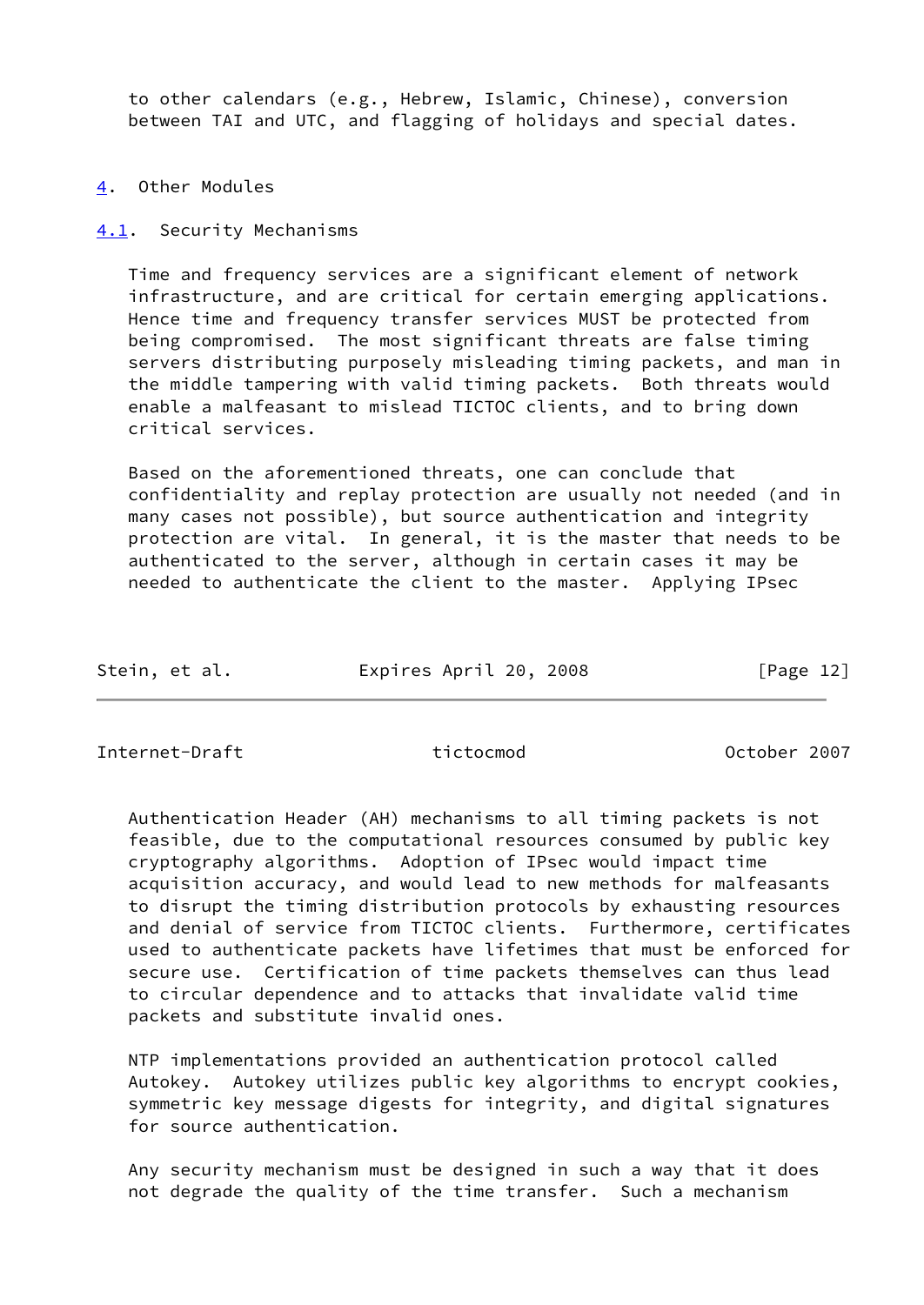to other calendars (e.g., Hebrew, Islamic, Chinese), conversion between TAI and UTC, and flagging of holidays and special dates.

### <span id="page-13-0"></span>[4](#page-13-0). Other Modules

<span id="page-13-1"></span>[4.1](#page-13-1). Security Mechanisms

 Time and frequency services are a significant element of network infrastructure, and are critical for certain emerging applications. Hence time and frequency transfer services MUST be protected from being compromised. The most significant threats are false timing servers distributing purposely misleading timing packets, and man in the middle tampering with valid timing packets. Both threats would enable a malfeasant to mislead TICTOC clients, and to bring down critical services.

 Based on the aforementioned threats, one can conclude that confidentiality and replay protection are usually not needed (and in many cases not possible), but source authentication and integrity protection are vital. In general, it is the master that needs to be authenticated to the server, although in certain cases it may be needed to authenticate the client to the master. Applying IPsec

| Stein, et al. | Expires April 20, 2008 | [Page 12] |
|---------------|------------------------|-----------|
|               |                        |           |

<span id="page-13-2"></span>Internet-Draft tictocmod October 2007

 Authentication Header (AH) mechanisms to all timing packets is not feasible, due to the computational resources consumed by public key cryptography algorithms. Adoption of IPsec would impact time acquisition accuracy, and would lead to new methods for malfeasants to disrupt the timing distribution protocols by exhausting resources and denial of service from TICTOC clients. Furthermore, certificates used to authenticate packets have lifetimes that must be enforced for secure use. Certification of time packets themselves can thus lead to circular dependence and to attacks that invalidate valid time packets and substitute invalid ones.

 NTP implementations provided an authentication protocol called Autokey. Autokey utilizes public key algorithms to encrypt cookies, symmetric key message digests for integrity, and digital signatures for source authentication.

 Any security mechanism must be designed in such a way that it does not degrade the quality of the time transfer. Such a mechanism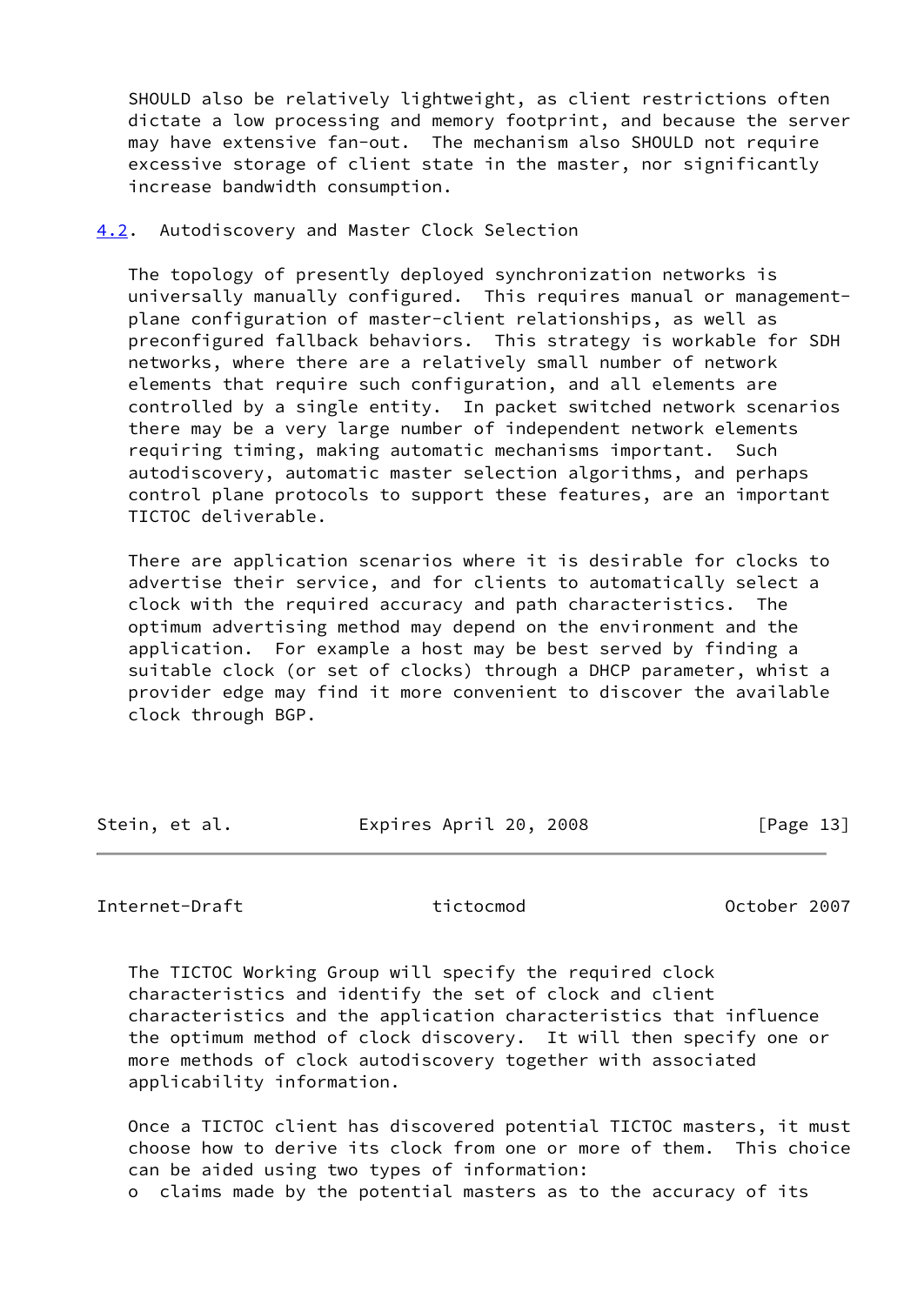SHOULD also be relatively lightweight, as client restrictions often dictate a low processing and memory footprint, and because the server may have extensive fan-out. The mechanism also SHOULD not require excessive storage of client state in the master, nor significantly increase bandwidth consumption.

## <span id="page-14-0"></span>[4.2](#page-14-0). Autodiscovery and Master Clock Selection

 The topology of presently deployed synchronization networks is universally manually configured. This requires manual or management plane configuration of master-client relationships, as well as preconfigured fallback behaviors. This strategy is workable for SDH networks, where there are a relatively small number of network elements that require such configuration, and all elements are controlled by a single entity. In packet switched network scenarios there may be a very large number of independent network elements requiring timing, making automatic mechanisms important. Such autodiscovery, automatic master selection algorithms, and perhaps control plane protocols to support these features, are an important TICTOC deliverable.

 There are application scenarios where it is desirable for clocks to advertise their service, and for clients to automatically select a clock with the required accuracy and path characteristics. The optimum advertising method may depend on the environment and the application. For example a host may be best served by finding a suitable clock (or set of clocks) through a DHCP parameter, whist a provider edge may find it more convenient to discover the available clock through BGP.

| Stein, et al. | Expires April 20, 2008 | [Page 13] |
|---------------|------------------------|-----------|
|               |                        |           |

### <span id="page-14-1"></span>Internet-Draft tictocmod October 2007

 The TICTOC Working Group will specify the required clock characteristics and identify the set of clock and client characteristics and the application characteristics that influence the optimum method of clock discovery. It will then specify one or more methods of clock autodiscovery together with associated applicability information.

 Once a TICTOC client has discovered potential TICTOC masters, it must choose how to derive its clock from one or more of them. This choice can be aided using two types of information: o claims made by the potential masters as to the accuracy of its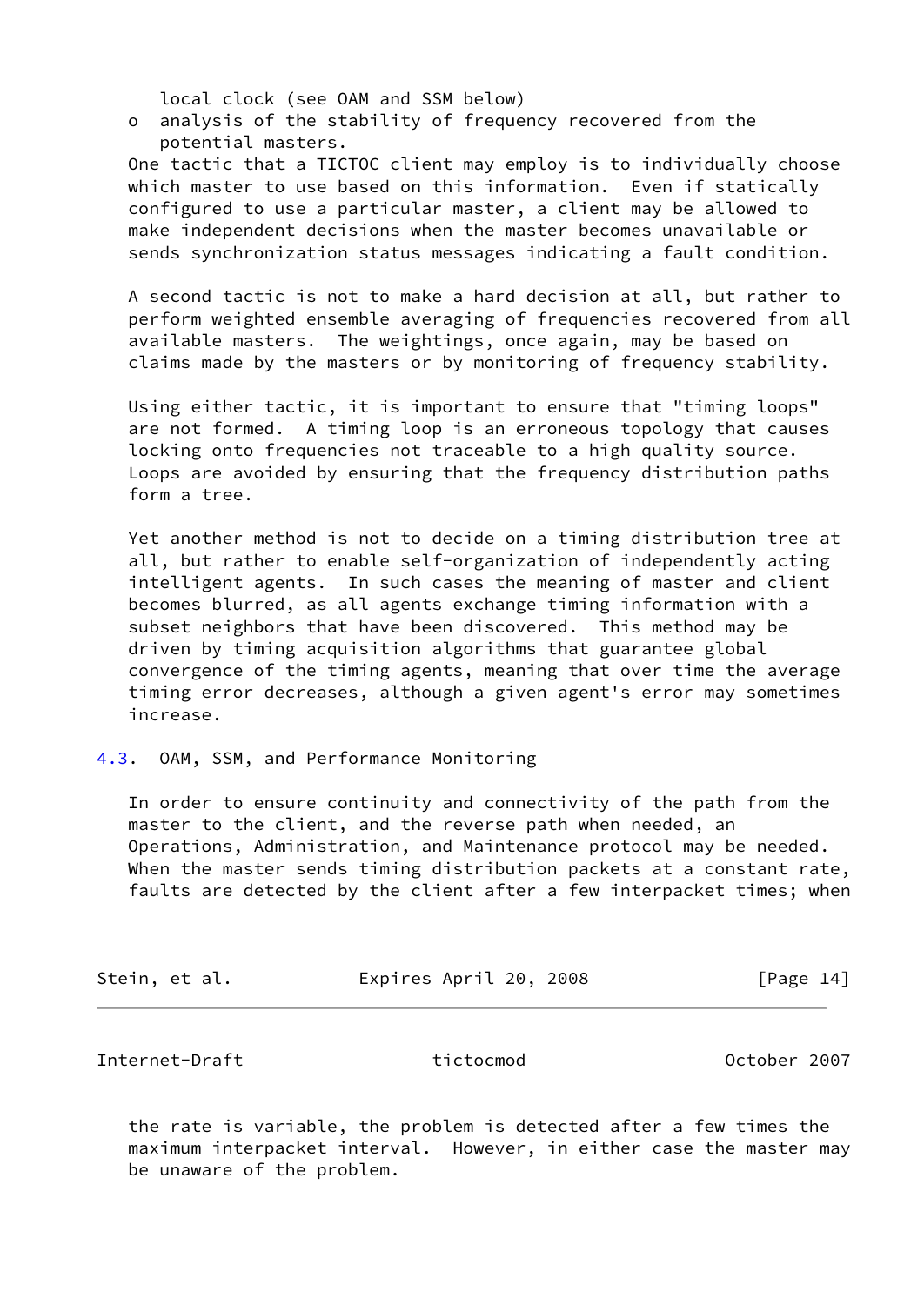local clock (see OAM and SSM below)

 o analysis of the stability of frequency recovered from the potential masters.

 One tactic that a TICTOC client may employ is to individually choose which master to use based on this information. Even if statically configured to use a particular master, a client may be allowed to make independent decisions when the master becomes unavailable or sends synchronization status messages indicating a fault condition.

 A second tactic is not to make a hard decision at all, but rather to perform weighted ensemble averaging of frequencies recovered from all available masters. The weightings, once again, may be based on claims made by the masters or by monitoring of frequency stability.

 Using either tactic, it is important to ensure that "timing loops" are not formed. A timing loop is an erroneous topology that causes locking onto frequencies not traceable to a high quality source. Loops are avoided by ensuring that the frequency distribution paths form a tree.

 Yet another method is not to decide on a timing distribution tree at all, but rather to enable self-organization of independently acting intelligent agents. In such cases the meaning of master and client becomes blurred, as all agents exchange timing information with a subset neighbors that have been discovered. This method may be driven by timing acquisition algorithms that guarantee global convergence of the timing agents, meaning that over time the average timing error decreases, although a given agent's error may sometimes increase.

<span id="page-15-0"></span>[4.3](#page-15-0). OAM, SSM, and Performance Monitoring

 In order to ensure continuity and connectivity of the path from the master to the client, and the reverse path when needed, an Operations, Administration, and Maintenance protocol may be needed. When the master sends timing distribution packets at a constant rate, faults are detected by the client after a few interpacket times; when

| Stein, et al.<br>Expires April 20, 2008 | [Page 14] |
|-----------------------------------------|-----------|
|-----------------------------------------|-----------|

<span id="page-15-1"></span>Internet-Draft tictocmod October 2007

 the rate is variable, the problem is detected after a few times the maximum interpacket interval. However, in either case the master may be unaware of the problem.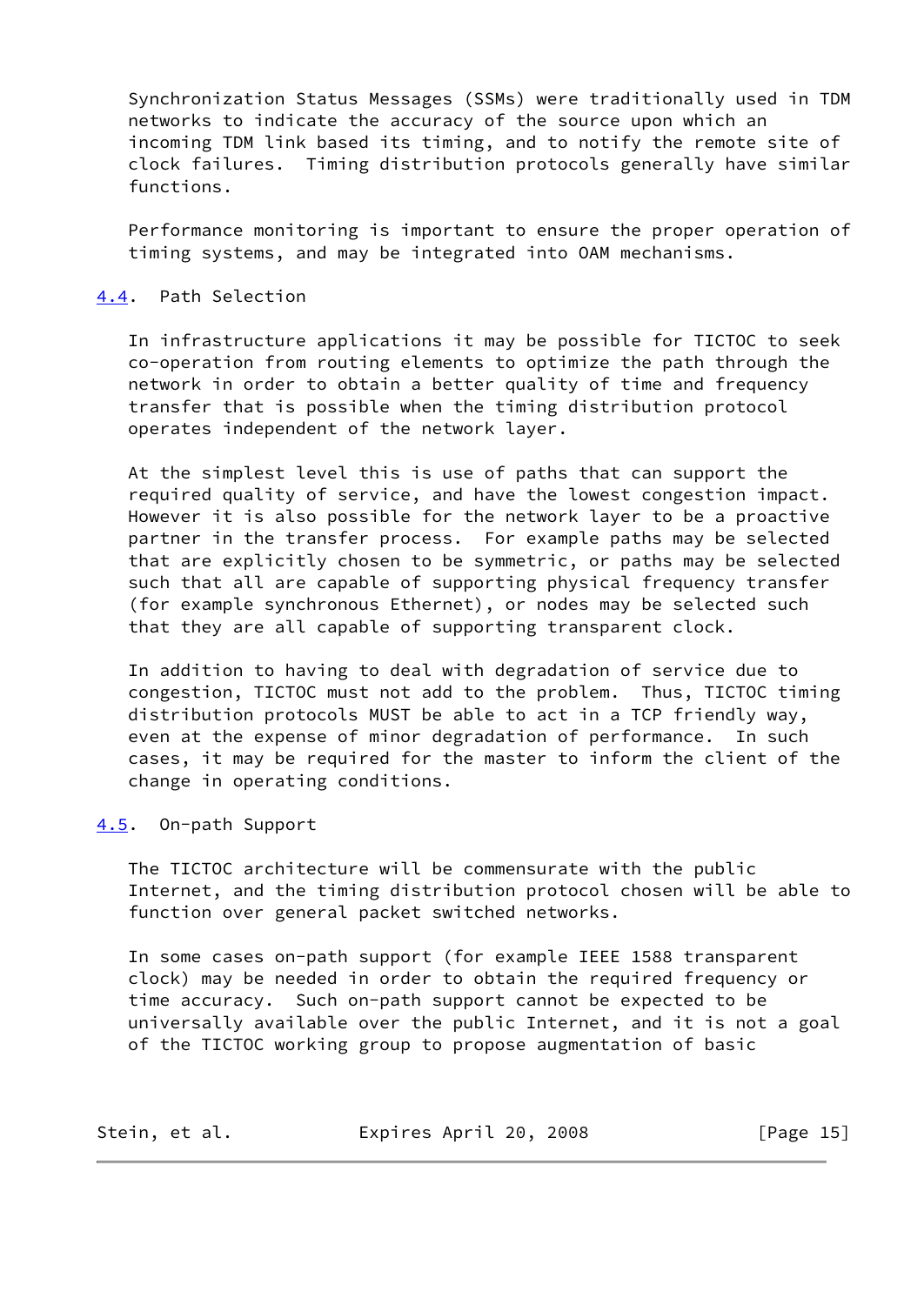Synchronization Status Messages (SSMs) were traditionally used in TDM networks to indicate the accuracy of the source upon which an incoming TDM link based its timing, and to notify the remote site of clock failures. Timing distribution protocols generally have similar functions.

 Performance monitoring is important to ensure the proper operation of timing systems, and may be integrated into OAM mechanisms.

## <span id="page-16-0"></span>[4.4](#page-16-0). Path Selection

 In infrastructure applications it may be possible for TICTOC to seek co-operation from routing elements to optimize the path through the network in order to obtain a better quality of time and frequency transfer that is possible when the timing distribution protocol operates independent of the network layer.

 At the simplest level this is use of paths that can support the required quality of service, and have the lowest congestion impact. However it is also possible for the network layer to be a proactive partner in the transfer process. For example paths may be selected that are explicitly chosen to be symmetric, or paths may be selected such that all are capable of supporting physical frequency transfer (for example synchronous Ethernet), or nodes may be selected such that they are all capable of supporting transparent clock.

 In addition to having to deal with degradation of service due to congestion, TICTOC must not add to the problem. Thus, TICTOC timing distribution protocols MUST be able to act in a TCP friendly way, even at the expense of minor degradation of performance. In such cases, it may be required for the master to inform the client of the change in operating conditions.

### <span id="page-16-1"></span>[4.5](#page-16-1). On-path Support

 The TICTOC architecture will be commensurate with the public Internet, and the timing distribution protocol chosen will be able to function over general packet switched networks.

 In some cases on-path support (for example IEEE 1588 transparent clock) may be needed in order to obtain the required frequency or time accuracy. Such on-path support cannot be expected to be universally available over the public Internet, and it is not a goal of the TICTOC working group to propose augmentation of basic

| Stein, et al. | Expires April 20, 2008 | [Page 15] |
|---------------|------------------------|-----------|
|---------------|------------------------|-----------|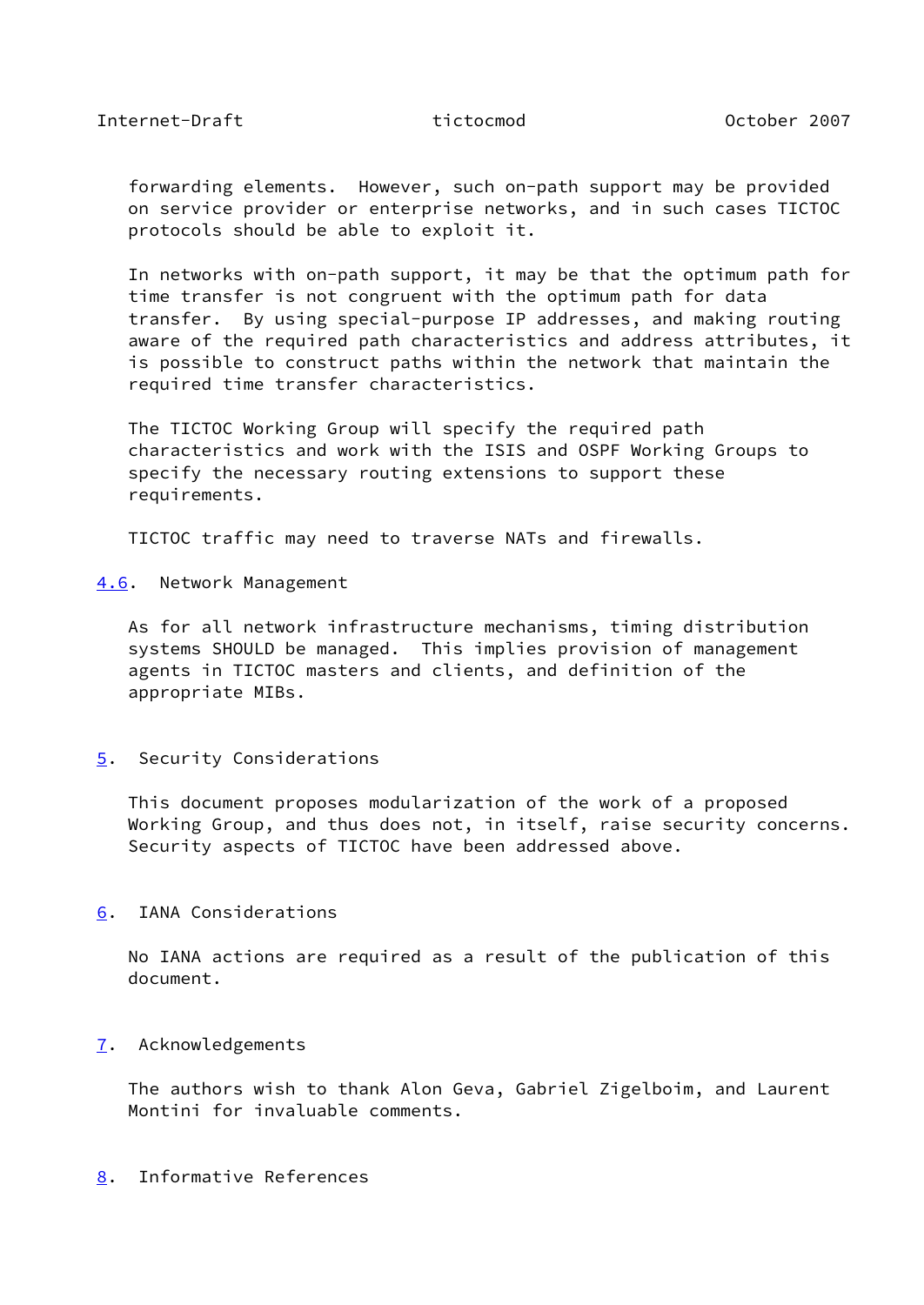<span id="page-17-1"></span>Internet-Draft tictocmod October 2007

 forwarding elements. However, such on-path support may be provided on service provider or enterprise networks, and in such cases TICTOC protocols should be able to exploit it.

 In networks with on-path support, it may be that the optimum path for time transfer is not congruent with the optimum path for data transfer. By using special-purpose IP addresses, and making routing aware of the required path characteristics and address attributes, it is possible to construct paths within the network that maintain the required time transfer characteristics.

 The TICTOC Working Group will specify the required path characteristics and work with the ISIS and OSPF Working Groups to specify the necessary routing extensions to support these requirements.

TICTOC traffic may need to traverse NATs and firewalls.

<span id="page-17-0"></span>[4.6](#page-17-0). Network Management

 As for all network infrastructure mechanisms, timing distribution systems SHOULD be managed. This implies provision of management agents in TICTOC masters and clients, and definition of the appropriate MIBs.

<span id="page-17-2"></span>[5](#page-17-2). Security Considerations

 This document proposes modularization of the work of a proposed Working Group, and thus does not, in itself, raise security concerns. Security aspects of TICTOC have been addressed above.

<span id="page-17-3"></span>[6](#page-17-3). IANA Considerations

 No IANA actions are required as a result of the publication of this document.

## <span id="page-17-4"></span>[7](#page-17-4). Acknowledgements

 The authors wish to thank Alon Geva, Gabriel Zigelboim, and Laurent Montini for invaluable comments.

<span id="page-17-5"></span>[8](#page-17-5). Informative References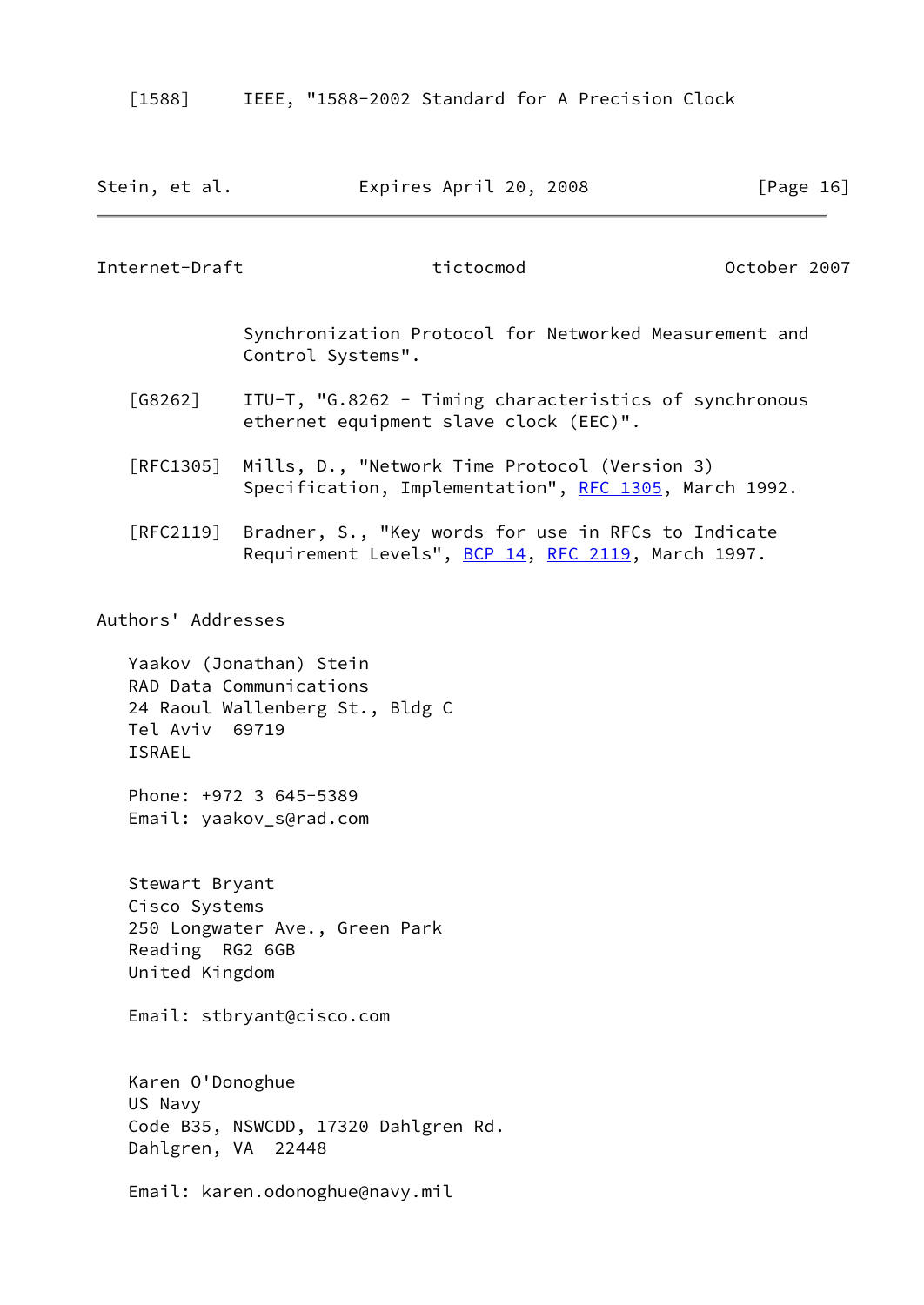<span id="page-18-2"></span>

[1588] IEEE, "1588-2002 Standard for A Precision Clock

<span id="page-18-1"></span><span id="page-18-0"></span>

| Stein, et al.                                                        | Expires April 20, 2008                                                                                                                     | [Page 16]    |
|----------------------------------------------------------------------|--------------------------------------------------------------------------------------------------------------------------------------------|--------------|
| Internet-Draft                                                       | tictocmod                                                                                                                                  | October 2007 |
|                                                                      | Synchronization Protocol for Networked Measurement and<br>Control Systems".                                                                |              |
| $\begin{bmatrix} G8262 \end{bmatrix}$                                | ITU-T, "G.8262 - Timing characteristics of synchronous<br>ethernet equipment slave clock (EEC)".                                           |              |
| $\lceil \mathsf{RFC1305} \rceil$                                     | Mills, D., "Network Time Protocol (Version 3)<br>Specification, Implementation", RFC 1305, March 1992.                                     |              |
|                                                                      | [RFC2119] Bradner, S., "Key words for use in RFCs to Indicate<br>Requirement Levels", BCP 14, RFC 2119, March 1997.                        |              |
| Authors' Addresses<br>Tel Aviv 69719<br><b>ISRAEL</b>                | Yaakov (Jonathan) Stein<br>RAD Data Communications<br>24 Raoul Wallenberg St., Bldg C<br>Phone: +972 3 645-5389<br>Email: yaakov_s@rad.com |              |
| Stewart Bryant<br>Cisco Systems<br>Reading RG2 6GB<br>United Kingdom | 250 Longwater Ave., Green Park<br>Email: stbryant@cisco.com                                                                                |              |
| Karen O'Donoghue<br>US Navy<br>Dahlgren, VA 22448                    | Code B35, NSWCDD, 17320 Dahlgren Rd.                                                                                                       |              |

Email: karen.odonoghue@navy.mil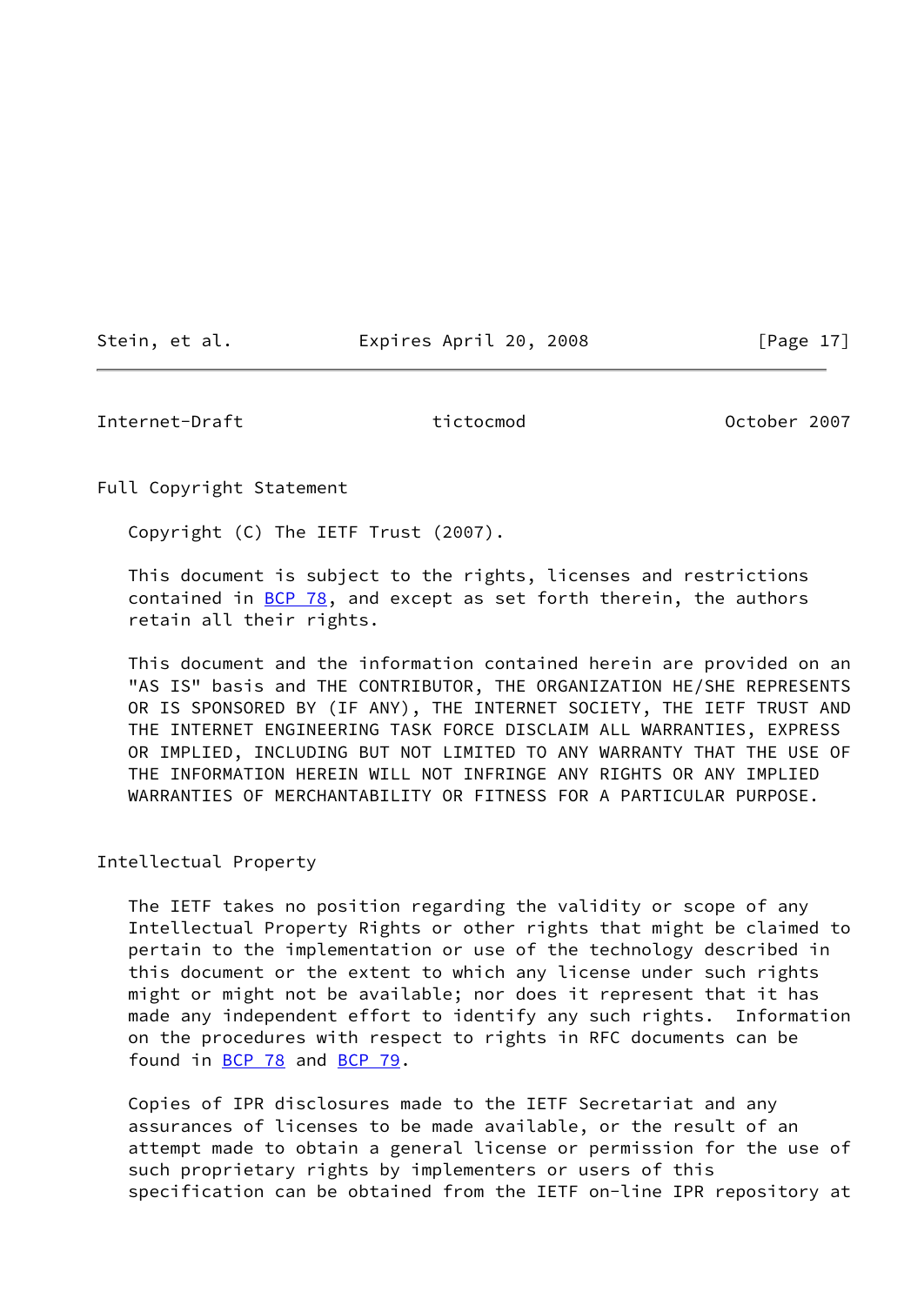Stein, et al. Expires April 20, 2008 [Page 17]

<span id="page-19-0"></span>Internet-Draft tictocmod October 2007

Full Copyright Statement

Copyright (C) The IETF Trust (2007).

 This document is subject to the rights, licenses and restrictions contained in  $BCP$  78, and except as set forth therein, the authors retain all their rights.

 This document and the information contained herein are provided on an "AS IS" basis and THE CONTRIBUTOR, THE ORGANIZATION HE/SHE REPRESENTS OR IS SPONSORED BY (IF ANY), THE INTERNET SOCIETY, THE IETF TRUST AND THE INTERNET ENGINEERING TASK FORCE DISCLAIM ALL WARRANTIES, EXPRESS OR IMPLIED, INCLUDING BUT NOT LIMITED TO ANY WARRANTY THAT THE USE OF THE INFORMATION HEREIN WILL NOT INFRINGE ANY RIGHTS OR ANY IMPLIED WARRANTIES OF MERCHANTABILITY OR FITNESS FOR A PARTICULAR PURPOSE.

Intellectual Property

 The IETF takes no position regarding the validity or scope of any Intellectual Property Rights or other rights that might be claimed to pertain to the implementation or use of the technology described in this document or the extent to which any license under such rights might or might not be available; nor does it represent that it has made any independent effort to identify any such rights. Information on the procedures with respect to rights in RFC documents can be found in [BCP 78](https://datatracker.ietf.org/doc/pdf/bcp78) and [BCP 79](https://datatracker.ietf.org/doc/pdf/bcp79).

 Copies of IPR disclosures made to the IETF Secretariat and any assurances of licenses to be made available, or the result of an attempt made to obtain a general license or permission for the use of such proprietary rights by implementers or users of this specification can be obtained from the IETF on-line IPR repository at